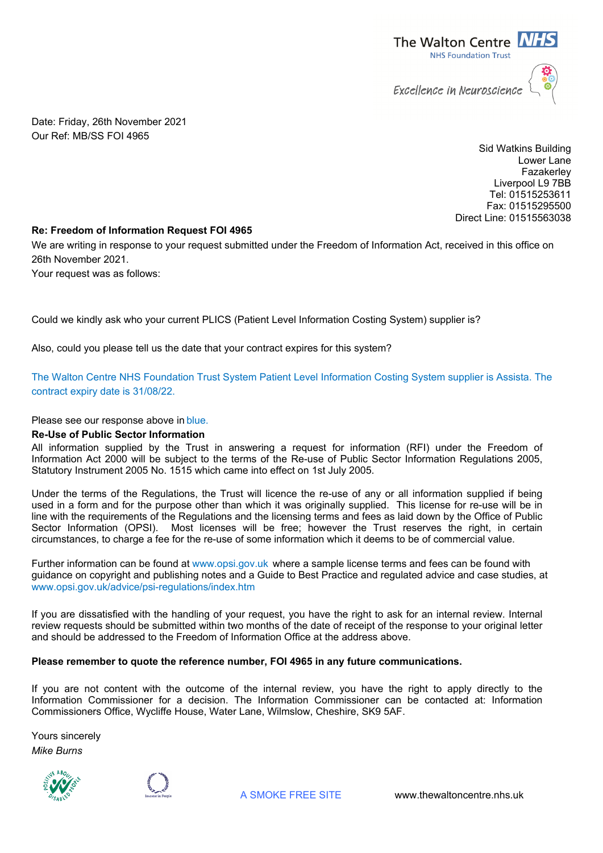

Date: Friday, 26th November 2021 Our Ref: MB/SS FOI 4965

> Sid Watkins Building Lower Lane Fazakerley Liverpool L9 7BB Tel: 01515253611 Fax: 01515295500 Direct Line: 01515563038

## **Re: Freedom of Information Request FOI 4965**

We are writing in response to your request submitted under the Freedom of Information Act, received in this office on 26th November 2021.

Your request was as follows:

Could we kindly ask who your current PLICS (Patient Level Information Costing System) supplier is?

Also, could you please tell us the date that your contract expires for this system?

The Walton Centre NHS Foundation Trust System Patient Level Information Costing System supplier is Assista. The contract expiry date is 31/08/22.

Please see our response above in blue.

## **Re-Use of Public Sector Information**

All information supplied by the Trust in answering a request for information (RFI) under the Freedom of Information Act 2000 will be subject to the terms of the Re-use of Public Sector Information Regulations 2005, Statutory Instrument 2005 No. 1515 which came into effect on 1st July 2005.

Under the terms of the Regulations, the Trust will licence the re-use of any or all information supplied if being used in a form and for the purpose other than which it was originally supplied. This license for re-use will be in line with the requirements of the Regulations and the licensing terms and fees as laid down by the Office of Public Sector Information (OPSI). Most licenses will be free; however the Trust reserves the right, in certain circumstances, to charge a fee for the re-use of some information which it deems to be of commercial value.

Further information can be found at www.opsi.gov.uk where a sample license terms and fees can be found with guidance on copyright and publishing notes and a Guide to Best Practice and regulated advice and case studies, at www.opsi.gov.uk/advice/psi-regulations/index.htm

If you are dissatisfied with the handling of your request, you have the right to ask for an internal review. Internal review requests should be submitted within two months of the date of receipt of the response to your original letter and should be addressed to the Freedom of Information Office at the address above.

## **Please remember to quote the reference number, FOI 4965 in any future communications.**

If you are not content with the outcome of the internal review, you have the right to apply directly to the Information Commissioner for a decision. The Information Commissioner can be contacted at: Information Commissioners Office, Wycliffe House, Water Lane, Wilmslow, Cheshire, SK9 5AF.

Yours sincerely *Mike Burns*